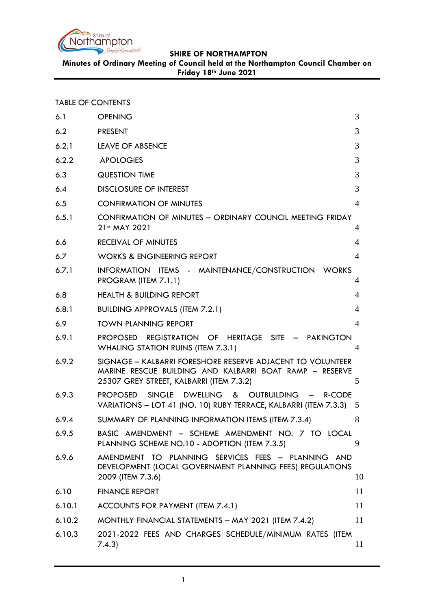

**Minutes of Ordinary Meeting of Council held at the Northampton Council Chamber on Friday 18th June 2021**

| <b>TABLE OF CONTENTS</b> |
|--------------------------|
|--------------------------|

| 6.1    | <b>OPENING</b>                                                                                                                                                    | 3              |
|--------|-------------------------------------------------------------------------------------------------------------------------------------------------------------------|----------------|
| 6.2    | <b>PRESENT</b>                                                                                                                                                    | 3              |
| 6.2.1  | LEAVE OF ABSENCE                                                                                                                                                  | 3              |
| 6.2.2  | <b>APOLOGIES</b>                                                                                                                                                  | 3              |
| 6.3    | <b>QUESTION TIME</b>                                                                                                                                              | 3              |
| 6.4    | <b>DISCLOSURE OF INTEREST</b>                                                                                                                                     | 3              |
| 6.5    | <b>CONFIRMATION OF MINUTES</b>                                                                                                                                    | $\overline{4}$ |
| 6.5.1  | CONFIRMATION OF MINUTES - ORDINARY COUNCIL MEETING FRIDAY<br>21st MAY 2021                                                                                        | 4              |
| 6.6    | <b>RECEIVAL OF MINUTES</b>                                                                                                                                        | 4              |
| 6.7    | <b>WORKS &amp; ENGINEERING REPORT</b>                                                                                                                             | $\overline{4}$ |
| 6.7.1  | INFORMATION ITEMS - MAINTENANCE/CONSTRUCTION WORKS<br>PROGRAM (ITEM 7.1.1)                                                                                        | 4              |
| 6.8    | <b>HEALTH &amp; BUILDING REPORT</b>                                                                                                                               | $\overline{4}$ |
| 6.8.1  | <b>BUILDING APPROVALS (ITEM 7.2.1)</b>                                                                                                                            | $\overline{4}$ |
| 6.9    | <b>TOWN PLANNING REPORT</b>                                                                                                                                       | $\overline{A}$ |
| 6.9.1  | PROPOSED REGISTRATION OF HERITAGE SITE - PAKINGTON<br><b>WHALING STATION RUINS (ITEM 7.3.1)</b>                                                                   | 4              |
| 6.9.2  | SIGNAGE - KALBARRI FORESHORE RESERVE ADJACENT TO VOLUNTEER<br>MARINE RESCUE BUILDING AND KALBARRI BOAT RAMP - RESERVE<br>25307 GREY STREET, KALBARRI (ITEM 7.3.2) | 5              |
| 6.9.3  | PROPOSED<br>SINGLE DWELLING & OUTBUILDING -<br>R-CODE<br>VARIATIONS - LOT 41 (NO. 10) RUBY TERRACE, KALBARRI (ITEM 7.3.3) 5                                       |                |
| 6.9.4  | SUMMARY OF PLANNING INFORMATION ITEMS (ITEM 7.3.4)                                                                                                                | 8              |
| 6.9.5  | BASIC AMENDMENT - SCHEME AMENDMENT NO. 7 TO LOCAL<br>PLANNING SCHEME NO.10 - ADOPTION (ITEM 7.3.5)                                                                | 9              |
| 6.9.6  | AMENDMENT TO PLANNING SERVICES FEES - PLANNING AND<br>DEVELOPMENT (LOCAL GOVERNMENT PLANNING FEES) REGULATIONS<br>2009 (ITEM 7.3.6)                               | 10             |
| 6.10   | <b>FINANCE REPORT</b>                                                                                                                                             | 11             |
| 6.10.1 | ACCOUNTS FOR PAYMENT (ITEM 7.4.1)                                                                                                                                 | 11             |
| 6.10.2 | MONTHLY FINANCIAL STATEMENTS - MAY 2021 (ITEM 7.4.2)                                                                                                              | 11             |
| 6.10.3 | 2021-2022 FEES AND CHARGES SCHEDULE/MINIMUM RATES (ITEM<br>7.4.3)                                                                                                 | 11             |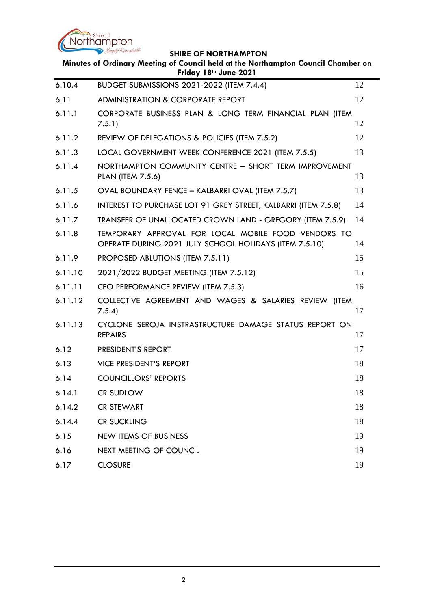

 $\overline{\phantom{0}}$ 

|         | Minutes of Ordinary Meeting of Council held at the Northampton Council Chamber on<br>Friday 18th June 2021    |    |
|---------|---------------------------------------------------------------------------------------------------------------|----|
| 6.10.4  | BUDGET SUBMISSIONS 2021-2022 (ITEM 7.4.4)                                                                     | 12 |
| 6.11    | <b>ADMINISTRATION &amp; CORPORATE REPORT</b>                                                                  | 12 |
| 6.11.1  | CORPORATE BUSINESS PLAN & LONG TERM FINANCIAL PLAN (ITEM<br>7.5.1)                                            | 12 |
| 6.11.2  | REVIEW OF DELEGATIONS & POLICIES (ITEM 7.5.2)                                                                 | 12 |
| 6.11.3  | LOCAL GOVERNMENT WEEK CONFERENCE 2021 (ITEM 7.5.5)                                                            | 13 |
| 6.11.4  | NORTHAMPTON COMMUNITY CENTRE - SHORT TERM IMPROVEMENT<br><b>PLAN (ITEM 7.5.6)</b>                             | 13 |
| 6.11.5  | OVAL BOUNDARY FENCE - KALBARRI OVAL (ITEM 7.5.7)                                                              | 13 |
| 6.11.6  | INTEREST TO PURCHASE LOT 91 GREY STREET, KALBARRI (ITEM 7.5.8)                                                | 14 |
| 6.11.7  | TRANSFER OF UNALLOCATED CROWN LAND - GREGORY (ITEM 7.5.9)                                                     | 14 |
| 6.11.8  | TEMPORARY APPROVAL FOR LOCAL MOBILE FOOD VENDORS TO<br>OPERATE DURING 2021 JULY SCHOOL HOLIDAYS (ITEM 7.5.10) | 14 |
| 6.11.9  | PROPOSED ABLUTIONS (ITEM 7.5.11)                                                                              | 15 |
| 6.11.10 | 2021/2022 BUDGET MEETING (ITEM 7.5.12)                                                                        | 15 |
| 6.11.11 | CEO PERFORMANCE REVIEW (ITEM 7.5.3)                                                                           | 16 |
| 6.11.12 | COLLECTIVE AGREEMENT AND WAGES & SALARIES REVIEW (ITEM<br>7.5.4                                               | 17 |
| 6.11.13 | CYCLONE SEROJA INSTRASTRUCTURE DAMAGE STATUS REPORT ON<br><b>REPAIRS</b>                                      | 17 |
| 6.12    | PRESIDENT'S REPORT                                                                                            | 17 |
| 6.13    | <b>VICE PRESIDENT'S REPORT</b>                                                                                | 18 |
| 6.14    | <b>COUNCILLORS' REPORTS</b>                                                                                   | 18 |
| 6.14.1  | <b>CR SUDLOW</b>                                                                                              | 18 |
| 6.14.2  | <b>CR STEWART</b>                                                                                             | 18 |
| 6.14.4  | <b>CR SUCKLING</b>                                                                                            | 18 |
| 6.15    | <b>NEW ITEMS OF BUSINESS</b>                                                                                  | 19 |
| 6.16    | <b>NEXT MEETING OF COUNCIL</b>                                                                                | 19 |
| 6.17    | <b>CLOSURE</b>                                                                                                | 19 |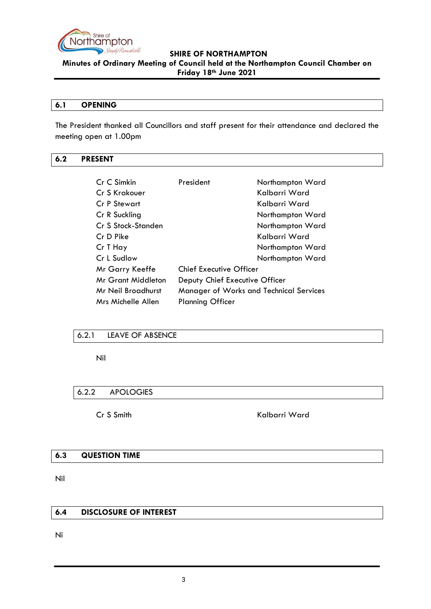

**Minutes of Ordinary Meeting of Council held at the Northampton Council Chamber on Friday 18th June 2021**

#### <span id="page-2-0"></span>**6.1 OPENING**

The President thanked all Councillors and staff present for their attendance and declared the meeting open at 1.00pm

#### <span id="page-2-1"></span>**6.2 PRESENT**

| Cr C Simkin        | President                                      | Northampton Ward |  |
|--------------------|------------------------------------------------|------------------|--|
| Cr S Krakouer      |                                                | Kalbarri Ward    |  |
| Cr P Stewart       |                                                | Kalbarri Ward    |  |
| Cr R Suckling      |                                                | Northampton Ward |  |
| Cr S Stock-Standen |                                                | Northampton Ward |  |
| Cr D Pike          |                                                | Kalbarri Ward    |  |
| Cr T Hay           |                                                | Northampton Ward |  |
| Cr L Sudlow        |                                                | Northampton Ward |  |
| Mr Garry Keeffe    | <b>Chief Executive Officer</b>                 |                  |  |
| Mr Grant Middleton | Deputy Chief Executive Officer                 |                  |  |
| Mr Neil Broadhurst | <b>Manager of Works and Technical Services</b> |                  |  |
| Mrs Michelle Allen | <b>Planning Officer</b>                        |                  |  |

#### <span id="page-2-2"></span>6.2.1 LEAVE OF ABSENCE

Nil

#### <span id="page-2-3"></span>6.2.2 APOLOGIES

Cr S Smith Kalbarri Ward

#### <span id="page-2-4"></span>**6.3 QUESTION TIME**

Nil

# <span id="page-2-5"></span>**6.4 DISCLOSURE OF INTEREST**

Ni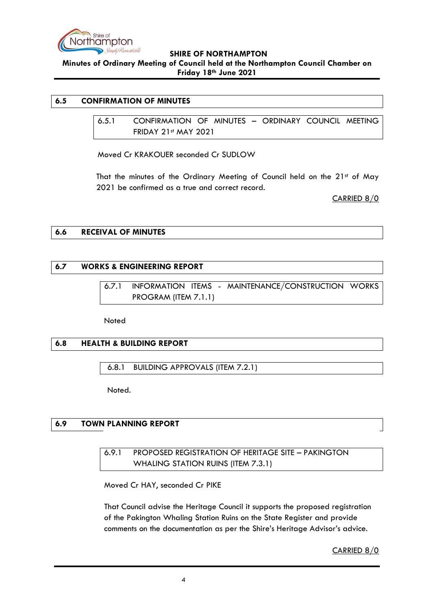

**Minutes of Ordinary Meeting of Council held at the Northampton Council Chamber on Friday 18th June 2021**

# <span id="page-3-1"></span><span id="page-3-0"></span>**6.5 CONFIRMATION OF MINUTES**

6.5.1 CONFIRMATION OF MINUTES – ORDINARY COUNCIL MEETING FRIDAY 21st MAY 2021

Moved Cr KRAKOUER seconded Cr SUDLOW

That the minutes of the Ordinary Meeting of Council held on the 21st of May 2021 be confirmed as a true and correct record.

CARRIED 8/0

#### <span id="page-3-2"></span>**6.6 RECEIVAL OF MINUTES**

#### <span id="page-3-4"></span><span id="page-3-3"></span>**6.7 WORKS & ENGINEERING REPORT**

6.7.1 INFORMATION ITEMS - MAINTENANCE/CONSTRUCTION WORKS PROGRAM (ITEM 7.1.1)

Noted

#### <span id="page-3-5"></span>**6.8 HEALTH & BUILDING REPORT**

<span id="page-3-6"></span>6.8.1 BUILDING APPROVALS (ITEM 7.2.1)

Noted.

# <span id="page-3-8"></span><span id="page-3-7"></span>**6.9 TOWN PLANNING REPORT**

6.9.1 PROPOSED REGISTRATION OF HERITAGE SITE – PAKINGTON WHALING STATION RUINS (ITEM 7.3.1)

Moved Cr HAY, seconded Cr PIKE

That Council advise the Heritage Council it supports the proposed registration of the Pakington Whaling Station Ruins on the State Register and provide comments on the documentation as per the Shire's Heritage Advisor's advice.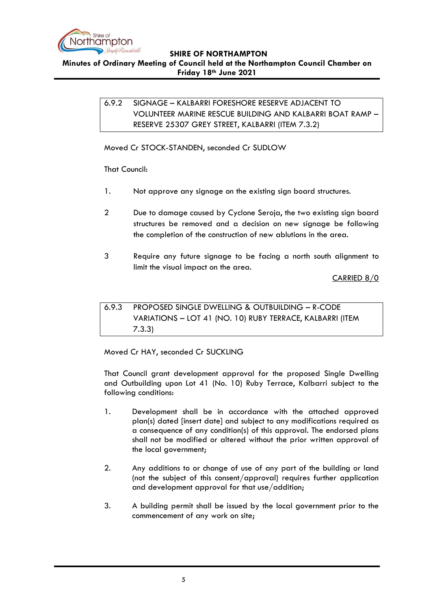

<span id="page-4-0"></span>**SHIRE OF NORTHAMPTON Minutes of Ordinary Meeting of Council held at the Northampton Council Chamber on** 

**Friday 18th June 2021**

6.9.2 SIGNAGE – KALBARRI FORESHORE RESERVE ADJACENT TO VOLUNTEER MARINE RESCUE BUILDING AND KALBARRI BOAT RAMP – RESERVE 25307 GREY STREET, KALBARRI (ITEM 7.3.2)

Moved Cr STOCK-STANDEN, seconded Cr SUDLOW

That Council:

- 1. Not approve any signage on the existing sign board structures.
- 2 Due to damage caused by Cyclone Seroja, the two existing sign board structures be removed and a decision on new signage be following the completion of the construction of new ablutions in the area.
- 3 Require any future signage to be facing a north south alignment to limit the visual impact on the area.

CARRIED 8/0

<span id="page-4-1"></span>6.9.3 PROPOSED SINGLE DWELLING & OUTBUILDING – R-CODE VARIATIONS – LOT 41 (NO. 10) RUBY TERRACE, KALBARRI (ITEM 7.3.3)

Moved Cr HAY, seconded Cr SUCKLING

That Council grant development approval for the proposed Single Dwelling and Outbuilding upon Lot 41 (No. 10) Ruby Terrace, Kalbarri subject to the following conditions:

- 1. Development shall be in accordance with the attached approved plan(s) dated [insert date] and subject to any modifications required as a consequence of any condition(s) of this approval. The endorsed plans shall not be modified or altered without the prior written approval of the local government;
- 2. Any additions to or change of use of any part of the building or land (not the subject of this consent/approval) requires further application and development approval for that use/addition;
- 3. A building permit shall be issued by the local government prior to the commencement of any work on site;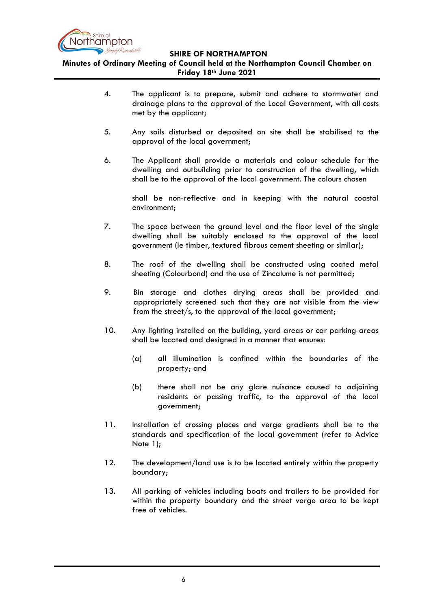

**Minutes of Ordinary Meeting of Council held at the Northampton Council Chamber on Friday 18th June 2021**

- 4. The applicant is to prepare, submit and adhere to stormwater and drainage plans to the approval of the Local Government, with all costs met by the applicant;
- 5. Any soils disturbed or deposited on site shall be stabilised to the approval of the local government;
- 6. The Applicant shall provide a materials and colour schedule for the dwelling and outbuilding prior to construction of the dwelling, which shall be to the approval of the local government. The colours chosen

shall be non-reflective and in keeping with the natural coastal environment;

- 7. The space between the ground level and the floor level of the single dwelling shall be suitably enclosed to the approval of the local government (ie timber, textured fibrous cement sheeting or similar);
- 8. The roof of the dwelling shall be constructed using coated metal sheeting (Colourbond) and the use of Zincalume is not permitted;
- 9. Bin storage and clothes drying areas shall be provided and appropriately screened such that they are not visible from the view from the street/s, to the approval of the local government;
- 10. Any lighting installed on the building, yard areas or car parking areas shall be located and designed in a manner that ensures:
	- (a) all illumination is confined within the boundaries of the property; and
	- (b) there shall not be any glare nuisance caused to adjoining residents or passing traffic, to the approval of the local government;
- 11. Installation of crossing places and verge gradients shall be to the standards and specification of the local government (refer to Advice Note 1);
- 12. The development/land use is to be located entirely within the property boundary;
- 13. All parking of vehicles including boats and trailers to be provided for within the property boundary and the street verge area to be kept free of vehicles.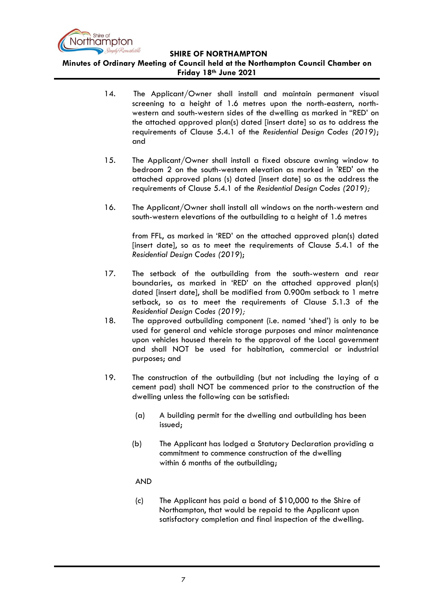

**Minutes of Ordinary Meeting of Council held at the Northampton Council Chamber on Friday 18th June 2021**

- 14. The Applicant/Owner shall install and maintain permanent visual screening to a height of 1.6 metres upon the north-eastern, northwestern and south-western sides of the dwelling as marked in "RED' on the attached approved plan(s) dated [insert date] so as to address the requirements of Clause 5.4.1 of the *Residential Design Codes (2019)*; and
- 15. The Applicant/Owner shall install a fixed obscure awning window to bedroom 2 on the south-western elevation as marked in 'RED' on the attached approved plans (s) dated [insert date] so as the address the requirements of Clause 5.4.1 of the *Residential Design Codes (2019);*
- 16. The Applicant/Owner shall install all windows on the north-western and south-western elevations of the outbuilding to a height of 1.6 metres

from FFL, as marked in 'RED' on the attached approved plan(s) dated [insert date], so as to meet the requirements of Clause 5.4.1 of the *Residential Design Codes (2019*);

- 17. The setback of the outbuilding from the south-western and rear boundaries, as marked in 'RED' on the attached approved plan(s) dated [insert date], shall be modified from 0.900m setback to 1 metre setback, so as to meet the requirements of Clause 5.1.3 of the *Residential Design Codes (2019);*
- 18. The approved outbuilding component (i.e. named 'shed') is only to be used for general and vehicle storage purposes and minor maintenance upon vehicles housed therein to the approval of the Local government and shall NOT be used for habitation, commercial or industrial purposes; and
- 19. The construction of the outbuilding (but not including the laying of a cement pad) shall NOT be commenced prior to the construction of the dwelling unless the following can be satisfied:
	- (a) A building permit for the dwelling and outbuilding has been issued;
	- (b) The Applicant has lodged a Statutory Declaration providing a commitment to commence construction of the dwelling within 6 months of the outbuilding;
	- AND
	- (c) The Applicant has paid a bond of \$10,000 to the Shire of Northampton, that would be repaid to the Applicant upon satisfactory completion and final inspection of the dwelling.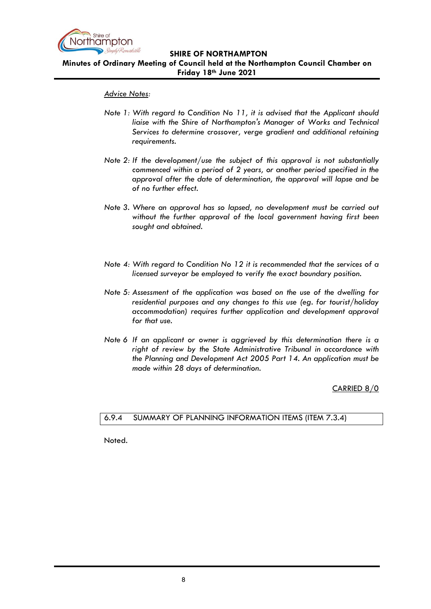

**Minutes of Ordinary Meeting of Council held at the Northampton Council Chamber on Friday 18th June 2021**

#### *Advice Notes:*

- *Note 1: With regard to Condition No 11, it is advised that the Applicant should liaise with the Shire of Northampton's Manager of Works and Technical Services to determine crossover, verge gradient and additional retaining requirements.*
- *Note 2: If the development/use the subject of this approval is not substantially commenced within a period of 2 years, or another period specified in the approval after the date of determination, the approval will lapse and be of no further effect.*
- *Note 3. Where an approval has so lapsed, no development must be carried out without the further approval of the local government having first been sought and obtained.*
- *Note 4: With regard to Condition No 12 it is recommended that the services of a licensed surveyor be employed to verify the exact boundary position.*
- *Note 5: Assessment of the application was based on the use of the dwelling for residential purposes and any changes to this use (eg. for tourist/holiday accommodation) requires further application and development approval for that use.*
- *Note 6 If an applicant or owner is aggrieved by this determination there is a right of review by the State Administrative Tribunal in accordance with the Planning and Development Act 2005 Part 14. An application must be made within 28 days of determination.*

CARRIED 8/0

#### <span id="page-7-0"></span>6.9.4 SUMMARY OF PLANNING INFORMATION ITEMS (ITEM 7.3.4)

Noted.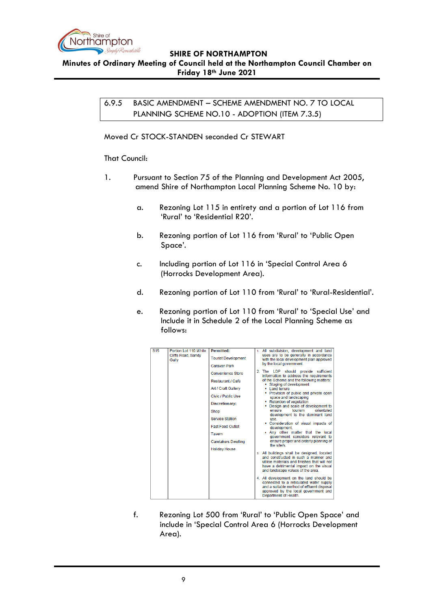

<span id="page-8-0"></span>**Minutes of Ordinary Meeting of Council held at the Northampton Council Chamber on Friday 18th June 2021**

> 6.9.5 BASIC AMENDMENT – SCHEME AMENDMENT NO. 7 TO LOCAL PLANNING SCHEME NO.10 - ADOPTION (ITEM 7.3.5)

#### Moved Cr STOCK-STANDEN seconded Cr STEWART

#### That Council:

- 1. Pursuant to Section 75 of the Planning and Development Act 2005, amend Shire of Northampton Local Planning Scheme No. 10 by:
	- a. Rezoning Lot 115 in entirety and a portion of Lot 116 from 'Rural' to 'Residential R20'.
	- b. Rezoning portion of Lot 116 from 'Rural' to 'Public Open Space'.
	- c. Including portion of Lot 116 in 'Special Control Area 6 (Horrocks Development Area).
	- d. Rezoning portion of Lot 110 from 'Rural' to 'Rural-Residential'.
	- e. Rezoning portion of Lot 110 from 'Rural' to 'Special Use' and Include it in Schedule 2 of the Local Planning Scheme as follows:

| <b>S15</b> | Portion Lot 110 White<br>Cliffs Road, Sandy | <b>Permitted:</b>                                                                                                                                                    | 1. All subdivision, development and land<br>uses are to be generally in accordance                                                                                                                                                                                                                                 |
|------------|---------------------------------------------|----------------------------------------------------------------------------------------------------------------------------------------------------------------------|--------------------------------------------------------------------------------------------------------------------------------------------------------------------------------------------------------------------------------------------------------------------------------------------------------------------|
|            | Gully                                       | <b>Tourist Development</b>                                                                                                                                           | with the local development plan approved                                                                                                                                                                                                                                                                           |
|            |                                             | Caravan Park                                                                                                                                                         | by the local government.                                                                                                                                                                                                                                                                                           |
|            |                                             | Convenience Store                                                                                                                                                    | 2. The LDP should provide sufficient<br>information to address the requirements                                                                                                                                                                                                                                    |
|            |                                             | <b>Restaurant / Cafe</b>                                                                                                                                             | of the Scheme and the following matters:<br>Staging of development                                                                                                                                                                                                                                                 |
|            |                                             | Art / Craft Gallery                                                                                                                                                  | • Land tenure                                                                                                                                                                                                                                                                                                      |
|            |                                             | Civic / Public Use                                                                                                                                                   | • Provision of public and private open<br>space and landscaping                                                                                                                                                                                                                                                    |
|            |                                             | <b>Discretionary:</b>                                                                                                                                                | • Retention of vegetation<br>• Design and scale of development to                                                                                                                                                                                                                                                  |
|            |                                             | Shop                                                                                                                                                                 | tourism<br>orientated<br>ensure<br>development is the dominant land<br>use.<br>• Consideration of visual impacts of<br>development.<br>. Any other matter that the local<br>government considers relevant to<br>ensure proper and orderly planning of<br>the site/s<br>3. All buildings shall be designed, located |
|            |                                             | <b>Service Station</b>                                                                                                                                               |                                                                                                                                                                                                                                                                                                                    |
|            |                                             | <b>Fast Food Outlet</b>                                                                                                                                              |                                                                                                                                                                                                                                                                                                                    |
|            |                                             | Tavern                                                                                                                                                               |                                                                                                                                                                                                                                                                                                                    |
|            |                                             | <b>Caretakers Dwelling</b>                                                                                                                                           |                                                                                                                                                                                                                                                                                                                    |
|            |                                             | <b>Holiday House</b>                                                                                                                                                 |                                                                                                                                                                                                                                                                                                                    |
|            |                                             | and constructed in such a manner and<br>utilise materials and finishes that will not<br>have a detrimental impact on the visual<br>and landscape values of the area. |                                                                                                                                                                                                                                                                                                                    |
|            |                                             |                                                                                                                                                                      | 4. All development on the land should be<br>connected to a reticulated water supply<br>and a suitable method of effluent disposal<br>approved by the local government and<br>Department of Health.                                                                                                                 |

f. Rezoning Lot 500 from 'Rural' to 'Public Open Space' and include in 'Special Control Area 6 (Horrocks Development Area).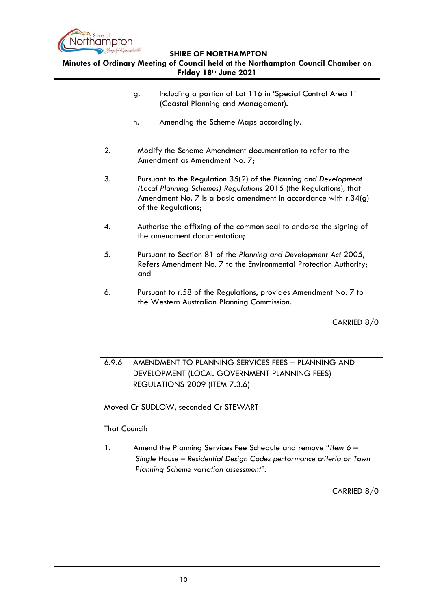

# **Minutes of Ordinary Meeting of Council held at the Northampton Council Chamber on Friday 18th June 2021**

- g. Including a portion of Lot 116 in 'Special Control Area 1' (Coastal Planning and Management).
- h. Amending the Scheme Maps accordingly.
- 2. Modify the Scheme Amendment documentation to refer to the Amendment as Amendment No. 7;
- 3. Pursuant to the Regulation 35(2) of the *Planning and Development (Local Planning Schemes) Regulations* 2015 (the Regulations), that Amendment No. 7 is a basic amendment in accordance with r.34(g) of the Regulations;
- 4. Authorise the affixing of the common seal to endorse the signing of the amendment documentation;
- 5. Pursuant to Section 81 of the *Planning and Development Act* 2005, Refers Amendment No. 7 to the Environmental Protection Authority; and
- 6. Pursuant to r.58 of the Regulations, provides Amendment No. 7 to the Western Australian Planning Commission.

CARRIED 8/0

# <span id="page-9-0"></span>6.9.6 AMENDMENT TO PLANNING SERVICES FEES – PLANNING AND DEVELOPMENT (LOCAL GOVERNMENT PLANNING FEES) REGULATIONS 2009 (ITEM 7.3.6)

Moved Cr SUDLOW, seconded Cr STEWART

#### That Council:

1. Amend the Planning Services Fee Schedule and remove "*Item 6* – *Single House – Residential Design Codes performance criteria or Town Planning Scheme variation assessment".*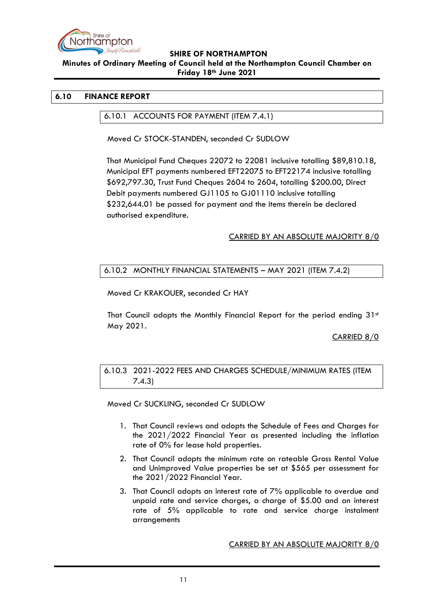

**Minutes of Ordinary Meeting of Council held at the Northampton Council Chamber on Friday 18th June 2021**

#### <span id="page-10-1"></span><span id="page-10-0"></span>**6.10 FINANCE REPORT**

6.10.1 ACCOUNTS FOR PAYMENT (ITEM 7.4.1)

Moved Cr STOCK-STANDEN, seconded Cr SUDLOW

That Municipal Fund Cheques 22072 to 22081 inclusive totalling \$89,810.18, Municipal EFT payments numbered EFT22075 to EFT22174 inclusive totalling \$692,797.30, Trust Fund Cheques 2604 to 2604, totalling \$200.00, Direct Debit payments numbered GJ1105 to GJ01110 inclusive totalling \$232,644.01 be passed for payment and the items therein be declared authorised expenditure.

#### CARRIED BY AN ABSOLUTE MAJORITY 8/0

#### <span id="page-10-2"></span>6.10.2 MONTHLY FINANCIAL STATEMENTS – MAY 2021 (ITEM 7.4.2)

Moved Cr KRAKOUER, seconded Cr HAY

That Council adopts the Monthly Financial Report for the period ending  $31<sup>st</sup>$ May 2021.

CARRIED 8/0

# <span id="page-10-3"></span>6.10.3 2021-2022 FEES AND CHARGES SCHEDULE/MINIMUM RATES (ITEM 7.4.3)

Moved Cr SUCKLING, seconded Cr SUDLOW

- 1. That Council reviews and adopts the Schedule of Fees and Charges for the 2021/2022 Financial Year as presented including the inflation rate of 0% for lease hold properties.
- 2. That Council adopts the minimum rate on rateable Gross Rental Value and Unimproved Value properties be set at \$565 per assessment for the 2021/2022 Financial Year.
- 3. That Council adopts an interest rate of 7% applicable to overdue and unpaid rate and service charges, a charge of \$5.00 and an interest rate of 5% applicable to rate and service charge instalment arrangements

CARRIED BY AN ABSOLUTE MAJORITY 8/0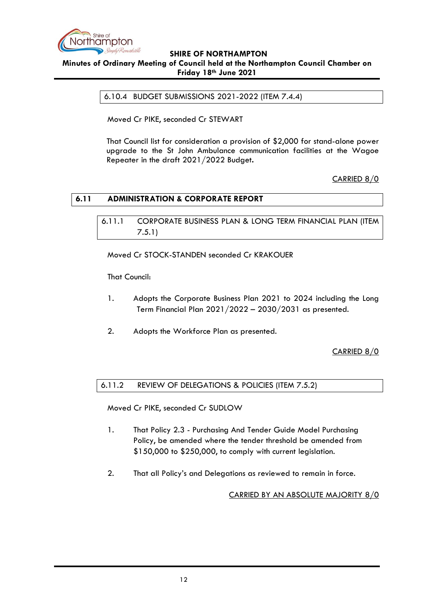

#### <span id="page-11-0"></span>**SHIRE OF NORTHAMPTON Minutes of Ordinary Meeting of Council held at the Northampton Council Chamber on Friday 18th June 2021**

6.10.4 BUDGET SUBMISSIONS 2021-2022 (ITEM 7.4.4)

Moved Cr PIKE, seconded Cr STEWART

That Council list for consideration a provision of \$2,000 for stand-alone power upgrade to the St John Ambulance communication facilities at the Wagoe Repeater in the draft 2021/2022 Budget**.**

# CARRIED 8/0

#### <span id="page-11-2"></span><span id="page-11-1"></span>**6.11 ADMINISTRATION & CORPORATE REPORT**

6.11.1 CORPORATE BUSINESS PLAN & LONG TERM FINANCIAL PLAN (ITEM 7.5.1)

Moved Cr STOCK-STANDEN seconded Cr KRAKOUER

That Council:

- 1. Adopts the Corporate Business Plan 2021 to 2024 including the Long Term Financial Plan 2021/2022 – 2030/2031 as presented.
- 2. Adopts the Workforce Plan as presented.

CARRIED 8/0

<span id="page-11-3"></span>6.11.2 REVIEW OF DELEGATIONS & POLICIES (ITEM 7.5.2)

Moved Cr PIKE, seconded Cr SUDLOW

- 1. That Policy 2.3 Purchasing And Tender Guide Model Purchasing Policy, be amended where the tender threshold be amended from \$150,000 to \$250,000, to comply with current legislation.
- 2. That all Policy's and Delegations as reviewed to remain in force.

CARRIED BY AN ABSOLUTE MAJORITY 8/0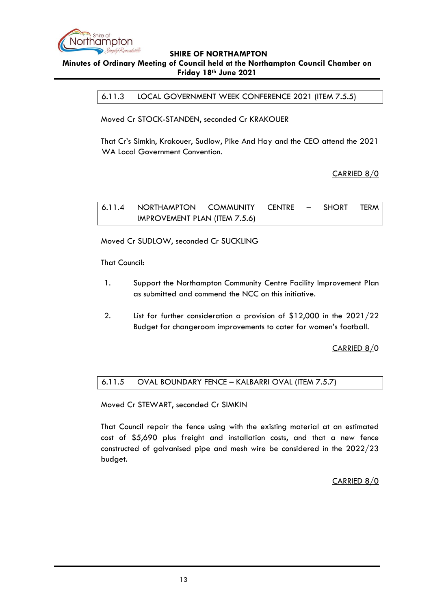

#### <span id="page-12-0"></span>**Minutes of Ordinary Meeting of Council held at the Northampton Council Chamber on Friday 18th June 2021**

6.11.3 LOCAL GOVERNMENT WEEK CONFERENCE 2021 (ITEM 7.5.5)

Moved Cr STOCK-STANDEN, seconded Cr KRAKOUER

That Cr's Simkin, Krakouer, Sudlow, Pike And Hay and the CEO attend the 2021 WA Local Government Convention.

CARRIED 8/0

<span id="page-12-1"></span>6.11.4 NORTHAMPTON COMMUNITY CENTRE – SHORT TERM IMPROVEMENT PLAN (ITEM 7.5.6)

Moved Cr SUDLOW, seconded Cr SUCKLING

That Council:

- 1. Support the Northampton Community Centre Facility Improvement Plan as submitted and commend the NCC on this initiative.
- 2. List for further consideration a provision of \$12,000 in the 2021/22 Budget for changeroom improvements to cater for women's football.

CARRIED 8/0

#### <span id="page-12-2"></span>6.11.5 OVAL BOUNDARY FENCE – KALBARRI OVAL (ITEM 7.5.7)

Moved Cr STEWART, seconded Cr SIMKIN

That Council repair the fence using with the existing material at an estimated cost of \$5,690 plus freight and installation costs, and that a new fence constructed of galvanised pipe and mesh wire be considered in the 2022/23 budget.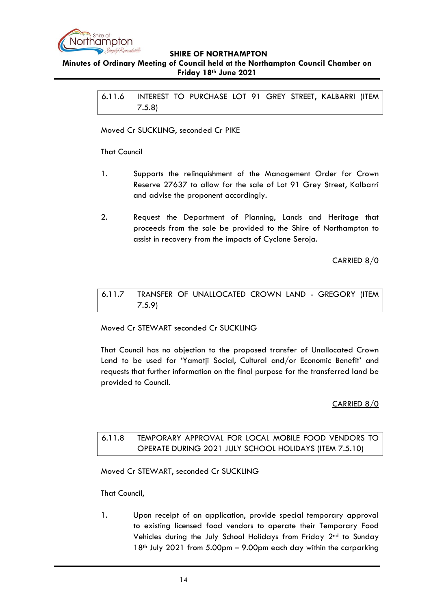

#### <span id="page-13-0"></span>**Minutes of Ordinary Meeting of Council held at the Northampton Council Chamber on Friday 18th June 2021**

6.11.6 INTEREST TO PURCHASE LOT 91 GREY STREET, KALBARRI (ITEM 7.5.8)

Moved Cr SUCKLING, seconded Cr PIKE

#### That Council

- 1. Supports the relinquishment of the Management Order for Crown Reserve 27637 to allow for the sale of Lot 91 Grey Street, Kalbarri and advise the proponent accordingly.
- 2. Request the Department of Planning, Lands and Heritage that proceeds from the sale be provided to the Shire of Northampton to assist in recovery from the impacts of Cyclone Seroja.

CARRIED 8/0

# <span id="page-13-1"></span>6.11.7 TRANSFER OF UNALLOCATED CROWN LAND - GREGORY (ITEM 7.5.9)

Moved Cr STEWART seconded Cr SUCKLING

That Council has no objection to the proposed transfer of Unallocated Crown Land to be used for 'Yamatji Social, Cultural and/or Economic Benefit' and requests that further information on the final purpose for the transferred land be provided to Council.

#### CARRIED 8/0

# <span id="page-13-2"></span>6.11.8 TEMPORARY APPROVAL FOR LOCAL MOBILE FOOD VENDORS TO OPERATE DURING 2021 JULY SCHOOL HOLIDAYS (ITEM 7.5.10)

Moved Cr STEWART, seconded Cr SUCKLING

That Council,

1. Upon receipt of an application, provide special temporary approval to existing licensed food vendors to operate their Temporary Food Vehicles during the July School Holidays from Friday 2nd to Sunday  $18<sup>th</sup>$  July 2021 from 5.00pm – 9.00pm each day within the carparking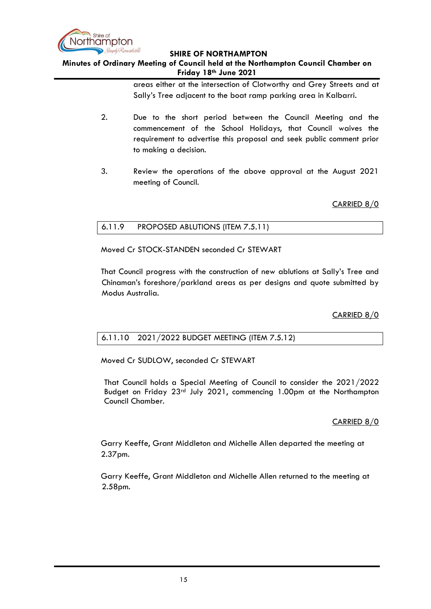

## **Minutes of Ordinary Meeting of Council held at the Northampton Council Chamber on Friday 18th June 2021**

areas either at the intersection of Clotworthy and Grey Streets and at Sally's Tree adjacent to the boat ramp parking area in Kalbarri.

- 2. Due to the short period between the Council Meeting and the commencement of the School Holidays, that Council waives the requirement to advertise this proposal and seek public comment prior to making a decision.
- 3. Review the operations of the above approval at the August 2021 meeting of Council.

CARRIED 8/0

#### <span id="page-14-0"></span>6.11.9 PROPOSED ABLUTIONS (ITEM 7.5.11)

Moved Cr STOCK-STANDEN seconded Cr STEWART

That Council progress with the construction of new ablutions at Sally's Tree and Chinaman's foreshore/parkland areas as per designs and quote submitted by Modus Australia.

CARRIED 8/0

#### <span id="page-14-1"></span>6.11.10 2021/2022 BUDGET MEETING (ITEM 7.5.12)

Moved Cr SUDLOW, seconded Cr STEWART

That Council holds a Special Meeting of Council to consider the 2021/2022 Budget on Friday  $23<sup>rd</sup>$  July 2021, commencing 1.00pm at the Northampton Council Chamber.

#### CARRIED 8/0

Garry Keeffe, Grant Middleton and Michelle Allen departed the meeting at 2.37pm.

Garry Keeffe, Grant Middleton and Michelle Allen returned to the meeting at 2.58pm.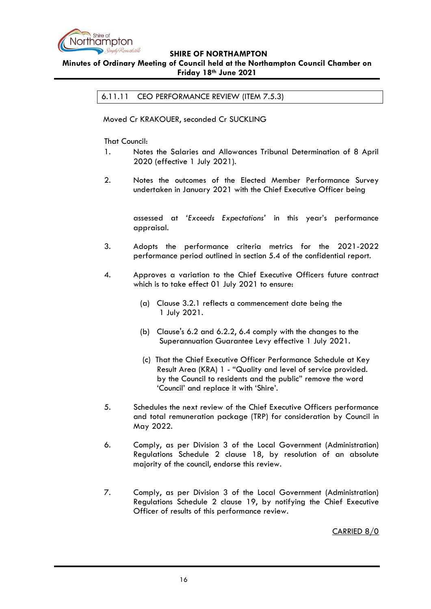

#### <span id="page-15-0"></span>**Minutes of Ordinary Meeting of Council held at the Northampton Council Chamber on Friday 18th June 2021**

6.11.11 CEO PERFORMANCE REVIEW (ITEM 7.5.3)

Moved Cr KRAKOUER, seconded Cr SUCKLING

That Council:

- 1. Notes the Salaries and Allowances Tribunal Determination of 8 April 2020 (effective 1 July 2021).
- 2. Notes the outcomes of the Elected Member Performance Survey undertaken in January 2021 with the Chief Executive Officer being

assessed at *'Exceeds Expectations'* in this year's performance appraisal.

- 3. Adopts the performance criteria metrics for the 2021-2022 performance period outlined in section 5.4 of the confidential report.
- 4. Approves a variation to the Chief Executive Officers future contract which is to take effect 01 July 2021 to ensure:
	- (a) Clause 3.2.1 reflects a commencement date being the 1 July 2021.
	- (b) Clause's 6.2 and 6.2.2, 6.4 comply with the changes to the Superannuation Guarantee Levy effective 1 July 2021.
	- (c) That the Chief Executive Officer Performance Schedule at Key Result Area (KRA) 1 - "Quality and level of service provided. by the Council to residents and the public" remove the word 'Council' and replace it with 'Shire'.
- 5. Schedules the next review of the Chief Executive Officers performance and total remuneration package (TRP) for consideration by Council in May 2022.
- 6. Comply, as per Division 3 of the Local Government (Administration) Regulations Schedule 2 clause 18, by resolution of an absolute majority of the council, endorse this review.
- 7. Comply, as per Division 3 of the Local Government (Administration) Regulations Schedule 2 clause 19, by notifying the Chief Executive Officer of results of this performance review.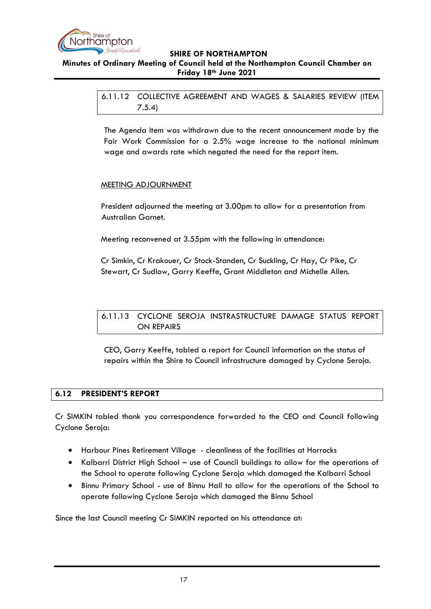

# <span id="page-16-0"></span>**Minutes of Ordinary Meeting of Council held at the Northampton Council Chamber on Friday 18th June 2021**

6.11.12 COLLECTIVE AGREEMENT AND WAGES & SALARIES REVIEW (ITEM 7.5.4)

The Agenda Item was withdrawn due to the recent announcement made by the Fair Work Commission for a 2.5% wage increase to the national minimum wage and awards rate which negated the need for the report item.

#### MEETING ADJOURNMENT

President adjourned the meeting at 3.00pm to allow for a presentation from Australian Garnet.

Meeting reconvened at 3.55pm with the following in attendance:

Cr Simkin, Cr Krakouer, Cr Stock-Standen, Cr Suckling, Cr Hay, Cr Pike, Cr Stewart, Cr Sudlow, Garry Keeffe, Grant Middleton and Michelle Allen.

<span id="page-16-1"></span>6.11.13 CYCLONE SEROJA INSTRASTRUCTURE DAMAGE STATUS REPORT ON REPAIRS

CEO, Garry Keeffe, tabled a report for Council information on the status of repairs within the Shire to Council infrastructure damaged by Cyclone Seroja.

#### <span id="page-16-2"></span>**6.12 PRESIDENT'S REPORT**

Cr SIMKIN tabled thank you correspondence forwarded to the CEO and Council following Cyclone Seroja:

- Harbour Pines Retirement Village cleanliness of the facilities at Horrocks
- Kalbarri District High School use of Council buildings to allow for the operations of the School to operate following Cyclone Seroja which damaged the Kalbarri School
- Binnu Primary School use of Binnu Hall to allow for the operations of the School to operate following Cyclone Seroja which damaged the Binnu School

Since the last Council meeting Cr SIMKIN reported on his attendance at: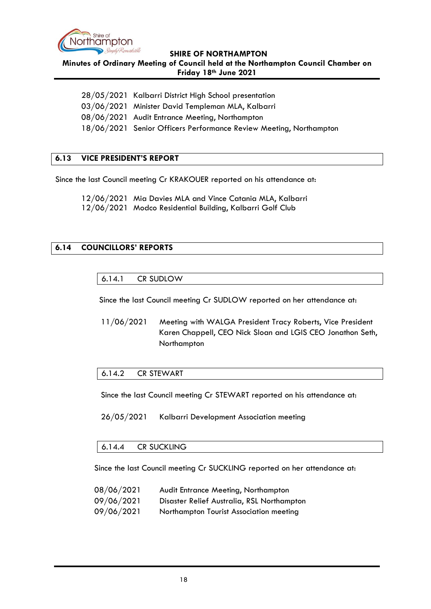

**Minutes of Ordinary Meeting of Council held at the Northampton Council Chamber on Friday 18th June 2021**

28/05/2021 Kalbarri District High School presentation 03/06/2021 Minister David Templeman MLA, Kalbarri

08/06/2021 Audit Entrance Meeting, Northampton

18/06/2021 Senior Officers Performance Review Meeting, Northampton

# <span id="page-17-0"></span>**6.13 VICE PRESIDENT'S REPORT**

Since the last Council meeting Cr KRAKOUER reported on his attendance at:

12/06/2021 Mia Davies MLA and Vince Catania MLA, Kalbarri 12/06/2021 Modco Residential Building, Kalbarri Golf Club

#### <span id="page-17-2"></span><span id="page-17-1"></span>**6.14 COUNCILLORS' REPORTS**

#### 6.14.1 CR SUDLOW

Since the last Council meeting Cr SUDLOW reported on her attendance at:

11/06/2021 Meeting with WALGA President Tracy Roberts, Vice President Karen Chappell, CEO Nick Sloan and LGIS CEO Jonathon Seth, Northampton

#### <span id="page-17-3"></span>6.14.2 CR STEWART

Since the last Council meeting Cr STEWART reported on his attendance at:

26/05/2021 Kalbarri Development Association meeting

#### <span id="page-17-4"></span>6.14.4 CR SUCKLING

Since the last Council meeting Cr SUCKLING reported on her attendance at:

- 08/06/2021 Audit Entrance Meeting, Northampton
- 09/06/2021 Disaster Relief Australia, RSL Northampton
- 09/06/2021 Northampton Tourist Association meeting